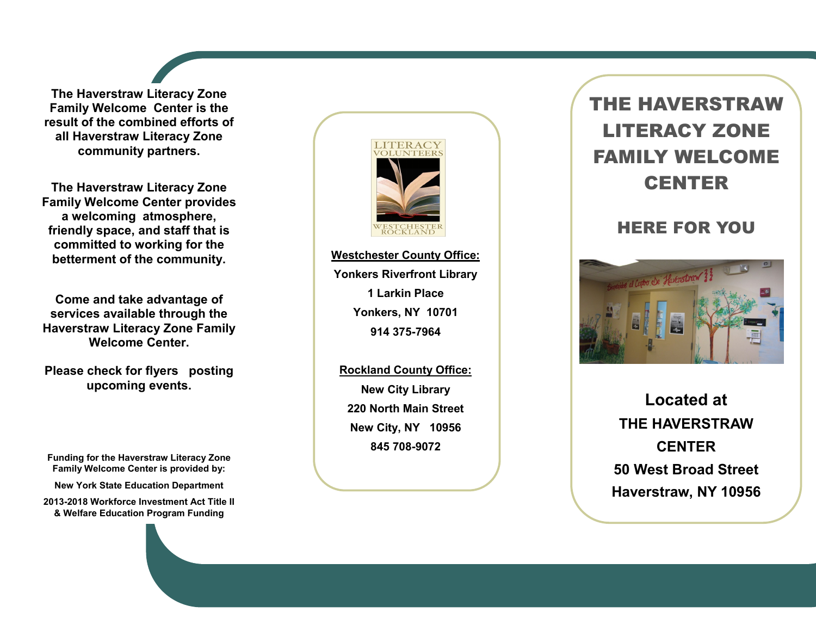**The Haverstraw Literacy Zone Family Welcome Center is the result of the combined efforts of all Haverstraw Literacy Zone community partners.**

**The Haverstraw Literacy Zone Family Welcome Center provides a welcoming atmosphere, friendly space, and staff that is committed to working for the betterment of the community.**

**Come and take advantage of services available through the Haverstraw Literacy Zone Family Welcome Center.**

**Please check for flyers posting upcoming events.**

**Funding for the Haverstraw Literacy Zone Family Welcome Center is provided by:** 

**New York State Education Department**

**2013 -2018 Workforce Investment Act Title II & Welfare Education Program Funding**



**Westchester County Office: Yonkers Riverfront Library 1 Larkin Place Yonkers, NY 10701 914 375 -7964**

**Rockland County Office: New City Library 220 North Main Street New City, NY 10956 845 708 -9072**

## THE HAVERSTRAW LITERACY ZONE FAMILY WELCOME CENTER

## HERE FOR YOU



**Located at THE HAVERSTRAW CENTER 50 West Broad Street Haverstraw, NY 10956**